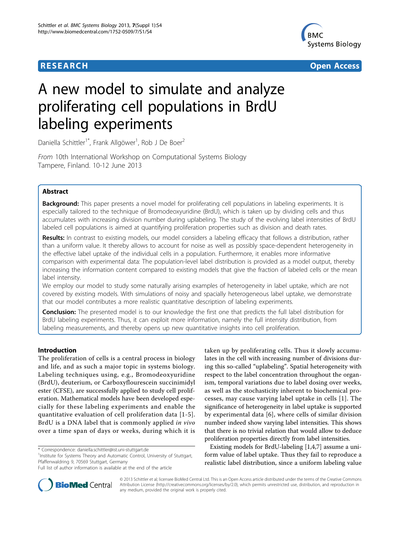

**RESEARCH CONSTRUCTION CONSTRUCTS** 

# A new model to simulate and analyze proliferating cell populations in BrdU labeling experiments

Daniella Schittler<sup>1\*</sup>, Frank Allgöwer<sup>1</sup>, Rob J De Boer<sup>2</sup>

From 10th International Workshop on Computational Systems Biology Tampere, Finland. 10-12 June 2013

# Abstract

Background: This paper presents a novel model for proliferating cell populations in labeling experiments. It is especially tailored to the technique of Bromodeoxyuridine (BrdU), which is taken up by dividing cells and thus accumulates with increasing division number during uplabeling. The study of the evolving label intensities of BrdU labeled cell populations is aimed at quantifying proliferation properties such as division and death rates.

Results: In contrast to existing models, our model considers a labeling efficacy that follows a distribution, rather than a uniform value. It thereby allows to account for noise as well as possibly space-dependent heterogeneity in the effective label uptake of the individual cells in a population. Furthermore, it enables more informative comparison with experimental data: The population-level label distribution is provided as a model output, thereby increasing the information content compared to existing models that give the fraction of labeled cells or the mean label intensity.

We employ our model to study some naturally arising examples of heterogeneity in label uptake, which are not covered by existing models. With simulations of noisy and spacially heterogeneous label uptake, we demonstrate that our model contributes a more realistic quantitative description of labeling experiments.

Conclusion: The presented model is to our knowledge the first one that predicts the full label distribution for BrdU labeling experiments. Thus, it can exploit more information, namely the full intensity distribution, from labeling measurements, and thereby opens up new quantitative insights into cell proliferation.

# Introduction

The proliferation of cells is a central process in biology and life, and as such a major topic in systems biology. Labeling techniques using, e.g., Bromodeoxyuridine (BrdU), deuterium, or Carboxyflourescein succinimidyl ester (CFSE), are successfully applied to study cell proliferation. Mathematical models have been developed especially for these labeling experiments and enable the quantitative evaluation of cell proliferation data [[1-5\]](#page-5-0). BrdU is a DNA label that is commonly applied in vivo over a time span of days or weeks, during which it is

taken up by proliferating cells. Thus it slowly accumulates in the cell with increasing number of divisions during this so-called "uplabeling". Spatial heterogeneity with respect to the label concentration throughout the organism, temporal variations due to label dosing over weeks, as well as the stochasticity inherent to biochemical processes, may cause varying label uptake in cells [[1](#page-5-0)]. The significance of heterogeneity in label uptake is supported by experimental data [\[6\]](#page-5-0), where cells of similar division number indeed show varying label intensities. This shows that there is no trivial relation that would allow to deduce proliferation properties directly from label intensities.

Existing models for BrdU-labeling [\[1,4,7](#page-5-0)] assume a uniform value of label uptake. Thus they fail to reproduce a realistic label distribution, since a uniform labeling value



© 2013 Schittler et al; licensee BioMed Central Ltd. This is an Open Access article distributed under the terms of the Creative Commons Attribution License [\(http://creativecommons.org/licenses/by/2.0](http://creativecommons.org/licenses/by/2.0)), which permits unrestricted use, distribution, and reproduction in any medium, provided the original work is properly cited.

<sup>\*</sup> Correspondence: [daniella.schittler@ist.uni-stuttgart.de](mailto:daniella.schittler@ist.uni-stuttgart.de)

<sup>&</sup>lt;sup>1</sup>Institute for Systems Theory and Automatic Control, University of Stuttgart, Pfaffenwaldring 9, 70569 Stuttgart, Germany

Full list of author information is available at the end of the article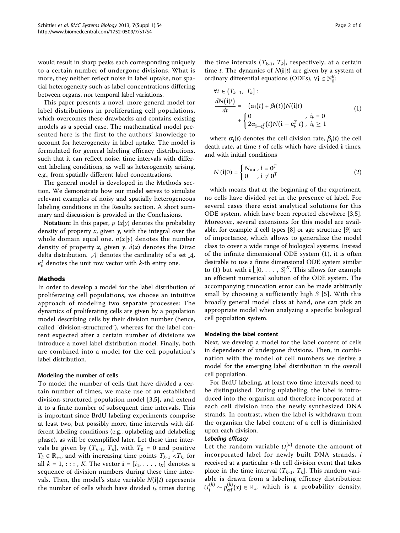would result in sharp peaks each corresponding uniquely to a certain number of undergone divisions. What is more, they neither reflect noise in label uptake, nor spatial heterogeneity such as label concentrations differing between organs, nor temporal label variations.

This paper presents a novel, more general model for label distributions in proliferating cell populations, which overcomes these drawbacks and contains existing models as a special case. The mathematical model presented here is the first to the authors' knowledge to account for heterogeneity in label uptake. The model is formulated for general labeling efficacy distributions, such that it can reflect noise, time intervals with different labeling conditions, as well as heterogeneity arising, e.g., from spatially different label concentrations.

The general model is developed in the Methods section. We demonstrate how our model serves to simulate relevant examples of noisy and spatially heterogeneous labeling conditions in the Results section. A short summary and discussion is provided in the Conclusions.

Notation: In this paper,  $p(x|y)$  denotes the probability density of property  $x$ , given  $y$ , with the integral over the whole domain equal one.  $n(x|y)$  denotes the number density of property x, given y.  $\delta(x)$  denotes the Dirac delta distribution. <sup>|</sup>*A*<sup>|</sup> denotes the cardinality of a set *A*.  $\mathbf{e}_k^T$  denotes the unit row vector with *k*-th entry one.

# Methods

In order to develop a model for the label distribution of proliferating cell populations, we choose an intuitive approach of modeling two separate processes: The dynamics of proliferating cells are given by a population model describing cells by their division number (hence, called "division-structured"), whereas for the label content expected after a certain number of divisions we introduce a novel label distribution model. Finally, both are combined into a model for the cell population's label distribution.

#### Modeling the number of cells

To model the number of cells that have divided a certain number of times, we make use of an established division-structured population model [[3,5](#page-5-0)], and extend it to a finite number of subsequent time intervals. This is important since BrdU labeling experiments comprise at least two, but possibly more, time intervals with different labeling conditions (e.g., uplabeling and delabeling phase), as will be exemplified later. Let these time intervals be given by  $(T_{k-1}, T_k]$ , with  $T_0 = 0$  and positive  $T_k \in \mathbb{R}_{++}$ , and with increasing time points  $T_{k-1} < T_k$ , for all  $k = 1, \ldots, K$ . The vector  $\mathbf{i} = [i_1, \ldots, i_K]$  denotes a sequence of division numbers during these time intervals. Then, the model's state variable  $N(i|t)$  represents the number of cells which have divided  $i_k$  times during

the time intervals  $(T_{k-1}, T_k]$ , respectively, at a certain time t. The dynamics of  $N(i|t)$  are given by a system of ordinary differential equations (ODEs),  $\forall i \in \mathbb{N}_0^K$ .

$$
\forall t \in (T_{k-1}, T_k]:
$$
  
\n
$$
\frac{dN(\mathbf{i}|t)}{dt} = -(\alpha_{\mathbf{i}}(t) + \beta_{\mathbf{i}}(t))N(\mathbf{i}|t)
$$
  
\n
$$
+ \begin{cases} 0 & , i_k = 0 \\ 2\alpha_{\mathbf{i}-\mathbf{e}_k^T}(t)N(\mathbf{i}-\mathbf{e}_k^T|t), & i_k \ge 1 \end{cases}
$$
\n(1)

where  $\alpha_i(t)$  denotes the cell division rate,  $\beta_i(t)$  the cell death rate, at time  $t$  of cells which have divided  $i$  times, and with initial conditions

$$
N(i|0) = \begin{cases} N_{\text{ini}} , \ i = 0^T \\ 0 , \ i \neq 0^T \end{cases}
$$
 (2)

which means that at the beginning of the experiment, no cells have divided yet in the presence of label. For several cases there exist analytical solutions for this ODE system, which have been reported elsewhere [[3,5](#page-5-0)]. Moreover, several extensions for this model are available, for example if cell types [[8](#page-5-0)] or age structure [[9\]](#page-5-0) are of importance, which allows to generalize the model class to cover a wide range of biological systems. Instead of the infinite dimensional ODE system (1), it is often desirable to use a finite dimensional ODE system similar to (1) but with  $\mathbf{i} \lfloor \{0, \ldots, S\}^K$ . This allows for example an efficient numerical solution of the ODE system. The accompanying truncation error can be made arbitrarily small by choosing a sufficiently high  $S$  [[5\]](#page-5-0). With this broadly general model class at hand, one can pick an appropriate model when analyzing a specific biological cell population system.

#### Modeling the label content

Next, we develop a model for the label content of cells in dependence of undergone divisions. Then, in combination with the model of cell numbers we derive a model for the emerging label distribution in the overall cell population.

For BrdU labeling, at least two time intervals need to be distinguished: During uplabeling, the label is introduced into the organism and therefore incorporated at each cell division into the newly synthesized DNA strands. In contrast, when the label is withdrawn from the organism the label content of a cell is diminished upon each division.

# Labeling efficacy

Let the random variable  $U_i^{(k)}$  denote the amount of incorporated label for newly built DNA strands,  $i$ received at a particular  $i$ -th cell division event that takes place in the time interval  $(T_{k-1}, T_k]$ . This random variable is drawn from a labeling efficacy distribution:  $U_i^{(k)} \sim p_{\text{eff}}^{(k)}(x) \in \mathbb{R}_+$ , which is a probability density,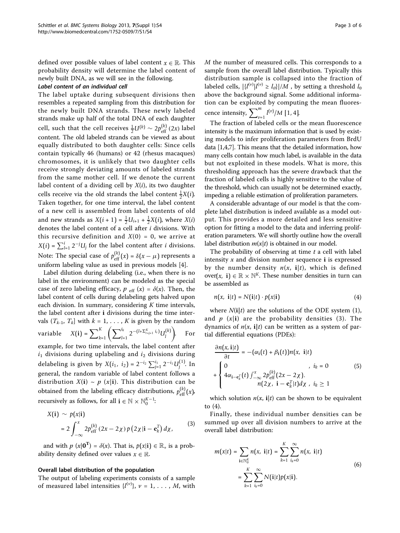defined over possible values of label content  $x \in \mathbb{R}$ . This probability density will determine the label content of newly built DNA, as we will see in the following.

### Label content of an individual cell

The label uptake during subsequent divisions then resembles a repeated sampling from this distribution for the newly built DNA strands. These newly labeled strands make up half of the total DNA of each daughter cell, such that the cell receives  $\frac{1}{2}$ U<sup>(k)</sup> ∼ 2 $p_{\text{eff}}^{(k)}$  (2*x*) label content. The old labeled strands can be viewed as about equally distributed to both daughter cells: Since cells contain typically 46 (humans) or 42 (rhesus macaques) chromosomes, it is unlikely that two daughter cells receive strongly deviating amounts of labeled strands from the same mother cell. If we denote the current label content of a dividing cell by  $X(i)$ , its two daughter cells receive via the old strands the label content  $\frac{1}{2}X(i)$ . Taken together, for one time interval, the label content of a new cell is assembled from label contents of old and new strands as  $X(i + 1) = \frac{1}{2}U_{i+1} + \frac{1}{2}X(i)$ , where  $X(i)$ denotes the label content of a cell after i divisions. With this recursive definition and  $X(0) = 0$ , we arrive at  $X(i) = \sum_{l=1}^{i} 2^{-j} U_j$  for the label content after *i* divisions. Note: The special case of  $p_{\text{eff}}^{(k)}(x) = \delta(x - \mu)$  represents a uniform labeling value as used in previous models [[4](#page-5-0)].

Label dilution during delabeling (i.e., when there is no label in the environment) can be modeled as the special case of zero labeling efficacy,  $p_{\text{eff}}(x) = \delta(x)$ . Then, the label content of cells during delabeling gets halved upon each division. In summary, considering  $K$  time intervals, the label content after i divisions during the time intervals  $(T_{k-1}, T_k]$  with  $k = 1, \ldots, K$  is given by the random variable  $X(i) = \sum_{k=1}^{K} \left( \sum_{l=1}^{i_k} 2^{-(l+\sum_{r=j+1}^{K} i_r)} U_l^{(k)} \right)$  . For example, for two time intervals, the label content after  $i_1$  divisions during uplabeling and  $i_2$  divisions during delabeling is given by *X*( $i_1$ ,  $i_2$ ) = 2<sup>−*i*2</sup>  $\sum_{j=1}^{i_1} 2^{-i_1} U_j^{(1)}$ . In general, the random variable of label content follows a distribution  $X(i) \sim p(x|i)$ . This distribution can be obtained from the labeling efficacy distributions,  $p_{\text{eff}}^{(k)}(x)$ ,

$$
X(i) \sim p(x|i)
$$
  
=  $2 \int_{-\infty}^{x} 2p_{\text{eff}}^{(k)} (2x - 2\chi) p(2\chi|i - \mathbf{e}_k^T) d\chi,$  (3)

and with  $p(x|0^T) = \delta(x)$ . That is,  $p(x|i) \in \mathbb{R}_+$  is a probability density defined over values  $x \in \mathbb{R}$ .

#### Overall label distribution of the population

recursively as follows, for all **i**  $\in \mathbb{N} \times \mathbb{N}_0^{K-1}$ :

The output of labeling experiments consists of a sample of measured label intensities  $\{l^{(\nu)}\}, \nu = 1, \ldots, M$ , with

M the number of measured cells. This corresponds to a sample from the overall label distribution. Typically this distribution sample is collapsed into the fraction of labeled cells,  $|\{l^{(v)}|l^{(v)} \ge l_\theta\}|/M$ , by setting a threshold  $l_\theta$ above the background signal. Some additional information can be exploited by computing the mean fluorescence intensity,  $\sum_{v=1}^{m} l^{(v)} / M$  [1, 4].

The fraction of labeled cells or the mean fluorescence intensity is the maximum information that is used by existing models to infer proliferation parameters from BrdU data [\[1,4,7\]](#page-5-0). This means that the detailed information, how many cells contain how much label, is available in the data but not exploited in these models. What is more, this thresholding approach has the severe drawback that the fraction of labeled cells is highly sensitive to the value of the threshold, which can usually not be determined exactly, impeding a reliable estimation of proliferation parameters.

A considerable advantage of our model is that the complete label distribution is indeed available as a model output. This provides a more detailed and less sensitive option for fitting a model to the data and inferring proliferation parameters. We will shortly outline how the overall label distribution  $m(x|t)$  is obtained in our model.

The probability of observing at time  $t$  a cell with label intensity  $x$  and division number sequence **i** is expressed by the number density  $n(x, i|t)$ , which is defined over(*x*, **i**)  $\in \mathbb{R} \times \mathbb{N}^K$ . These number densities in turn can be assembled as

$$
n(x, i|t) = N(i|t) \cdot p(x|i)
$$
 (4)

where  $N(i|t)$  are the solutions of the ODE system (1), and  $p(x|i)$  are the probability densities (3). The dynamics of  $n(x, i|t)$  can be written as a system of partial differential equations (PDEs):

$$
\frac{\partial n(x, i|t)}{\partial t} = -(\alpha_i(t) + \beta_i(t))n(x, i|t)
$$
\n
$$
+ \begin{cases}\n0 & , i_k = 0 \\
4\alpha_{i-e_k}^T(t) \int_{-\infty}^x 2p_{\text{eff}}^{(k)}(2x - 2\chi). \\
n(2\chi, i - e_k^T(t) \chi, i_k \ge 1\n\end{cases}
$$
\n(5)

which solution  $n(x, i|t)$  can be shown to be equivalent to (4).

Finally, these individual number densities can be summed up over all division numbers to arrive at the overall label distribution:

$$
m(x|t) = \sum_{\mathbf{i} \in \mathbb{N}_0^K} n(x, \, \mathbf{i}|t) = \sum_{k=1}^K \sum_{i_k=0}^{\infty} n(x, \, \mathbf{i}|t) \\ = \sum_{k=1}^K \sum_{i_k=0}^{\infty} N(\mathbf{i}|t) p(x|\mathbf{i}). \tag{6}
$$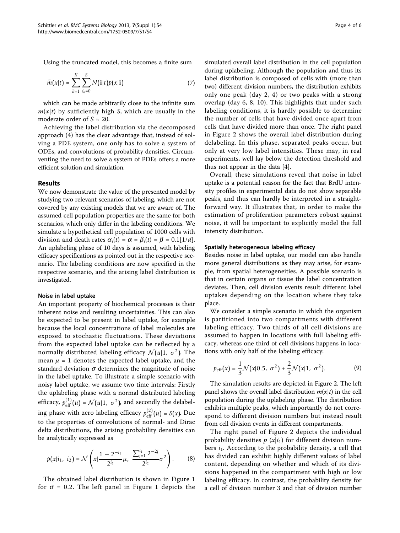Using the truncated model, this becomes a finite sum

$$
\tilde{m}(x|t) = \sum_{k=1}^{K} \sum_{i_k=0}^{S} N(i|t) p(x|i)
$$
 (7)

which can be made arbitrarily close to the infinite sum  $m(x|t)$  by sufficiently high S, which are usually in the moderate order of  $S \approx 20$ .

Achieving the label distribution via the decomposed approach (4) has the clear advantage that, instead of solving a PDE system, one only has to solve a system of ODEs, and convolutions of probability densities. Circumventing the need to solve a system of PDEs offers a more efficient solution and simulation.

# Results

We now demonstrate the value of the presented model by studying two relevant scenarios of labeling, which are not covered by any existing models that we are aware of. The assumed cell population properties are the same for both scenarios, which only differ in the labeling conditions. We simulate a hypothetical cell population of 1000 cells with division and death rates  $\alpha_i(t) = \alpha = \beta_i(t) = \beta = 0.1[1/d]$ . An uplabeling phase of 10 days is assumed, with labeling efficacy specifications as pointed out in the respective scenario. The labeling conditions are now specified in the respective scenario, and the arising label distribution is investigated.

#### Noise in label uptake

An important property of biochemical processes is their inherent noise and resulting uncertainties. This can also be expected to be present in label uptake, for example because the local concentrations of label molecules are exposed to stochastic fluctuations. These deviations from the expected label uptake can be reflected by a normally distributed labeling efficacy  $\mathcal{N}(u|1, \sigma^2)$ . The mean  $\mu$  = 1 denotes the expected label uptake, and the standard deviation  $\sigma$  determines the magnitude of noise in the label uptake. To illustrate a simple scenario with noisy label uptake, we assume two time intervals: Firstly the uplabeling phase with a normal distributed labeling efficacy,  $p_{\text{eff}}^{(1)}(u) = \mathcal{N}(u|1, \sigma^2)$ , and secondly the delabeling phase with zero labeling efficacy  $p_{\text{eff}}^{(2)}(u) = \delta(x)$ . Due to the properties of convolutions of normal- and Dirac delta distributions, the arising probability densities can be analytically expressed as

$$
p(x|i_1, i_2) = \mathcal{N}\left(x | \frac{1 - 2^{-i_1}}{2^{i_2}} \mu, \frac{\sum_{j=1}^{i_1} 2^{-2j}}{2^{i_2}} \sigma^2\right).
$$
 (8)

The obtained label distribution is shown in Figure [1](#page-4-0) for  $\sigma$  = 0.2. The left panel in Figure [1](#page-4-0) depicts the Page 4 of 6

simulated overall label distribution in the cell population during uplabeling. Although the population and thus its label distribution is composed of cells with (more than two) different division numbers, the distribution exhibits only one peak (day 2, 4) or two peaks with a strong overlap (day 6, 8, 10). This highlights that under such labeling conditions, it is hardly possible to determine the number of cells that have divided once apart from cells that have divided more than once. The right panel in Figure [2](#page-4-0) shows the overall label distribution during delabeling. In this phase, separated peaks occur, but only at very low label intensities. These may, in real experiments, well lay below the detection threshold and thus not appear in the data [\[4](#page-5-0)].

Overall, these simulations reveal that noise in label uptake is a potential reason for the fact that BrdU intensity profiles in experimental data do not show separable peaks, and thus can hardly be interpreted in a straightforward way. It illustrates that, in order to make the estimation of proliferation parameters robust against noise, it will be important to explicitly model the full intensity distribution.

#### Spatially heterogeneous labeling efficacy

Besides noise in label uptake, our model can also handle more general distributions as they may arise, for example, from spatial heterogeneities. A possible scenario is that in certain organs or tissue the label concentration deviates. Then, cell division events result different label uptakes depending on the location where they take place.

We consider a simple scenario in which the organism is partitioned into two compartments with different labeling efficacy. Two thirds of all cell divisions are assumed to happen in locations with full labeling efficacy, whereas one third of cell divisions happens in locations with only half of the labeling efficacy:

$$
p_{\text{eff}}(x) = \frac{1}{3} \mathcal{N}(x|0.5, \sigma^2) + \frac{2}{3} \mathcal{N}(x|1, \sigma^2). \tag{9}
$$

The simulation results are depicted in Figure [2.](#page-4-0) The left panel shows the overall label distribution  $m(x|t)$  in the cell population during the uplabeling phase. The distribution exhibits multiple peaks, which importantly do not correspond to different division numbers but instead result from cell division events in different compartments.

The right panel of Figure [2](#page-4-0) depicts the individual probability densities  $p(x|i_1)$  for different division numbers  $i_1$ . According to the probability density, a cell that has divided can exhibit highly different values of label content, depending on whether and which of its divisions happened in the compartment with high or low labeling efficacy. In contrast, the probability density for a cell of division number 3 and that of division number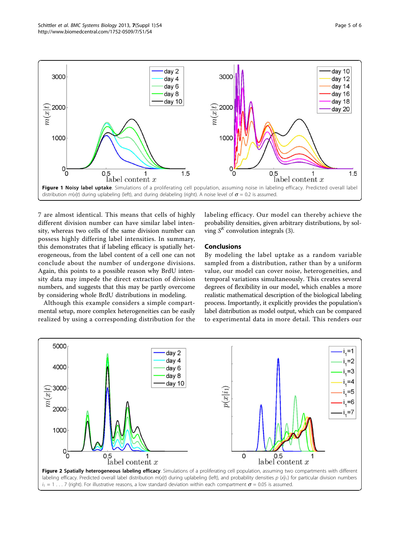<span id="page-4-0"></span>

7 are almost identical. This means that cells of highly different division number can have similar label intensity, whereas two cells of the same division number can possess highly differing label intensities. In summary, this demonstrates that if labeling efficacy is spatially heterogeneous, from the label content of a cell one can not conclude about the number of undergone divisions. Again, this points to a possible reason why BrdU intensity data may impede the direct extraction of division numbers, and suggests that this may be partly overcome by considering whole BrdU distributions in modeling.

Although this example considers a simple compartmental setup, more complex heterogeneities can be easily realized by using a corresponding distribution for the labeling efficacy. Our model can thereby achieve the probability densities, given arbitrary distributions, by solving  $S<sup>K</sup>$  convolution integrals (3).

# Conclusions

By modeling the label uptake as a random variable sampled from a distribution, rather than by a uniform value, our model can cover noise, heterogeneities, and temporal variations simultaneously. This creates several degrees of flexibility in our model, which enables a more realistic mathematical description of the biological labeling process. Importantly, it explicitly provides the population's label distribution as model output, which can be compared to experimental data in more detail. This renders our



labeling efficacy. Predicted overall label distribution  $m(x|t)$  during uplabeling (left), and probability densities p  $(x|i_1)$  for particular division numbers  $i_1 = 1 \ldots 7$  (right). For illustrative reasons, a low standard deviation within each compartment  $\sigma = 0.05$  is assumed.